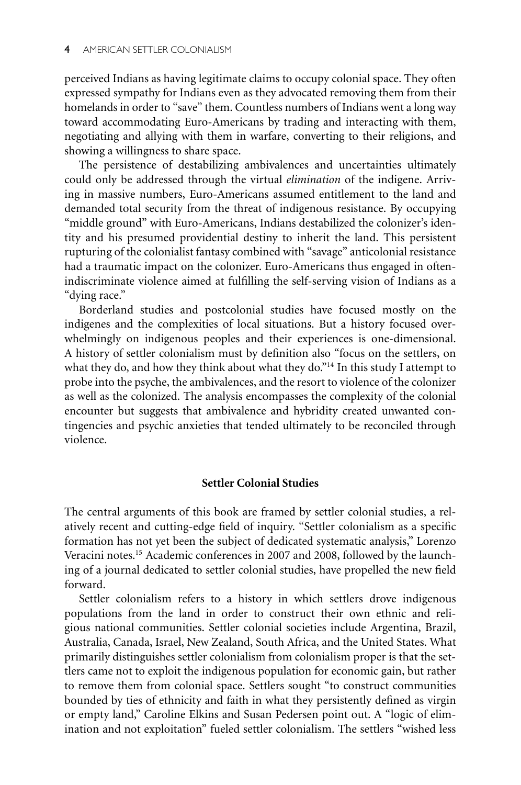perceived Indians as having legitimate claims to occupy colonial space. They often expressed sympathy for Indians even as they advocated removing them from their homelands in order to "save" them. Countless numbers of Indians went a long way toward accommodating Euro-Americans by trading and interacting with them, negotiating and allying with them in warfare, converting to their religions, and showing a willingness to share space.

The persistence of destabilizing ambivalences and uncertainties ultimately could only be addressed through the virtual *elimination* of the indigene. Arriving in massive numbers, Euro-Americans assumed entitlement to the land and demanded total security from the threat of indigenous resistance. By occupying "middle ground" with Euro-Americans, Indians destabilized the colonizer's identity and his presumed providential destiny to inherit the land. This persistent rupturing of the colonialist fantasy combined with "savage" anticolonial resistance had a traumatic impact on the colonizer. Euro-Americans thus engaged in oftenindiscriminate violence aimed at fulfilling the self-serving vision of Indians as a "dying race."

Borderland studies and postcolonial studies have focused mostly on the indigenes and the complexities of local situations. But a history focused overwhelmingly on indigenous peoples and their experiences is one-dimensional. A history of settler colonialism must by definition also "focus on the settlers, on what they do, and how they think about what they do."<sup>14</sup> In this study I attempt to probe into the psyche, the ambivalences, and the resort to violence of the colonizer as well as the colonized. The analysis encompasses the complexity of the colonial encounter but suggests that ambivalence and hybridity created unwanted contingencies and psychic anxieties that tended ultimately to be reconciled through violence.

## **Settler Colonial Studies**

The central arguments of this book are framed by settler colonial studies, a relatively recent and cutting-edge field of inquiry. "Settler colonialism as a specific formation has not yet been the subject of dedicated systematic analysis," Lorenzo Veracini notes.15 Academic conferences in 2007 and 2008, followed by the launching of a journal dedicated to settler colonial studies, have propelled the new field forward.

Settler colonialism refers to a history in which settlers drove indigenous populations from the land in order to construct their own ethnic and religious national communities. Settler colonial societies include Argentina, Brazil, Australia, Canada, Israel, New Zealand, South Africa, and the United States. What primarily distinguishes settler colonialism from colonialism proper is that the settlers came not to exploit the indigenous population for economic gain, but rather to remove them from colonial space. Settlers sought "to construct communities bounded by ties of ethnicity and faith in what they persistently defined as virgin or empty land," Caroline Elkins and Susan Pedersen point out. A "logic of elimination and not exploitation" fueled settler colonialism. The settlers "wished less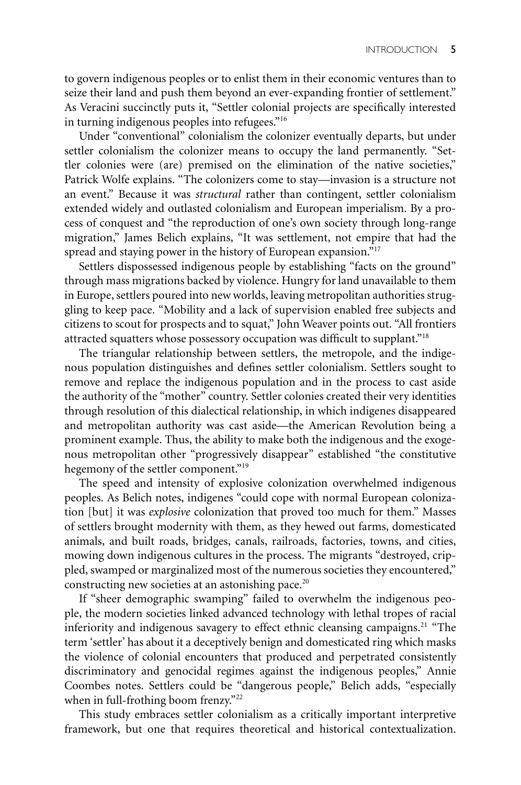to govern indigenous peoples or to enlist them in their economic ventures than to seize their land and push them beyond an ever-expanding frontier of settlement." As Veracini succinctly puts it, "Settler colonial projects are specifically interested in turning indigenous peoples into refugees."16

Under "conventional" colonialism the colonizer eventually departs, but under settler colonialism the colonizer means to occupy the land permanently. "Settler colonies were (are) premised on the elimination of the native societies," Patrick Wolfe explains. "The colonizers come to stay—invasion is a structure not an event." Because it was *structural* rather than contingent, settler colonialism extended widely and outlasted colonialism and European imperialism. By a process of conquest and "the reproduction of one's own society through long-range migration," James Belich explains, "It was settlement, not empire that had the spread and staying power in the history of European expansion."<sup>17</sup>

Settlers dispossessed indigenous people by establishing "facts on the ground" through mass migrations backed by violence. Hungry for land unavailable to them in Europe, settlers poured into new worlds, leaving metropolitan authorities struggling to keep pace. "Mobility and a lack of supervision enabled free subjects and citizens to scout for prospects and to squat," John Weaver points out. "All frontiers attracted squatters whose possessory occupation was difficult to supplant."18

The triangular relationship between settlers, the metropole, and the indigenous population distinguishes and defines settler colonialism. Settlers sought to remove and replace the indigenous population and in the process to cast aside the authority of the "mother" country. Settler colonies created their very identities through resolution of this dialectical relationship, in which indigenes disappeared and metropolitan authority was cast aside—the American Revolution being a prominent example. Thus, the ability to make both the indigenous and the exogenous metropolitan other "progressively disappear" established "the constitutive hegemony of the settler component."19

The speed and intensity of explosive colonization overwhelmed indigenous peoples. As Belich notes, indigenes "could cope with normal European colonization [but] it was *explosive* colonization that proved too much for them." Masses of settlers brought modernity with them, as they hewed out farms, domesticated animals, and built roads, bridges, canals, railroads, factories, towns, and cities, mowing down indigenous cultures in the process. The migrants "destroyed, crippled, swamped or marginalized most of the numerous societies they encountered," constructing new societies at an astonishing pace. $20$ 

If "sheer demographic swamping" failed to overwhelm the indigenous people, the modern societies linked advanced technology with lethal tropes of racial inferiority and indigenous savagery to effect ethnic cleansing campaigns.<sup>21</sup> "The term 'settler' has about it a deceptively benign and domesticated ring which masks the violence of colonial encounters that produced and perpetrated consistently discriminatory and genocidal regimes against the indigenous peoples," Annie Coombes notes. Settlers could be "dangerous people," Belich adds, "especially when in full-frothing boom frenzy."<sup>22</sup>

This study embraces settler colonialism as a critically important interpretive framework, but one that requires theoretical and historical contextualization.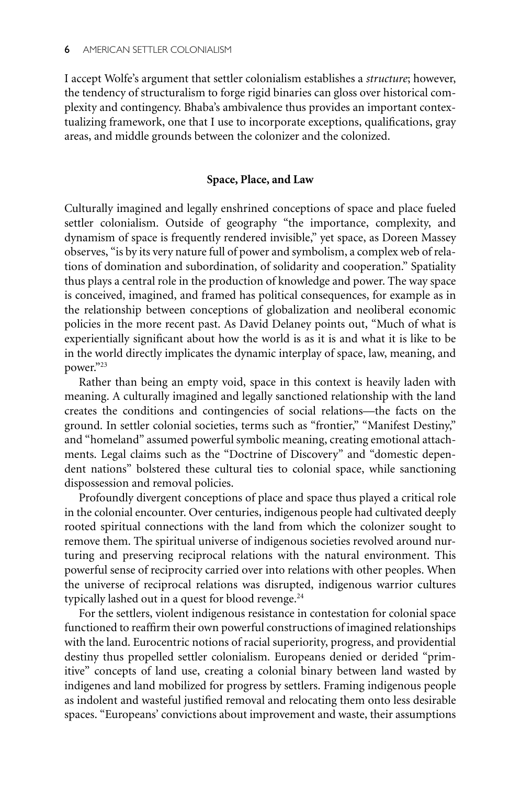I accept Wolfe's argument that settler colonialism establishes a *structure*; however, the tendency of structuralism to forge rigid binaries can gloss over historical complexity and contingency. Bhaba's ambivalence thus provides an important contextualizing framework, one that I use to incorporate exceptions, qualifications, gray areas, and middle grounds between the colonizer and the colonized.

## **Space, Place, and Law**

Culturally imagined and legally enshrined conceptions of space and place fueled settler colonialism. Outside of geography "the importance, complexity, and dynamism of space is frequently rendered invisible," yet space, as Doreen Massey observes, "is by its very nature full of power and symbolism, a complex web of relations of domination and subordination, of solidarity and cooperation." Spatiality thus plays a central role in the production of knowledge and power. The way space is conceived, imagined, and framed has political consequences, for example as in the relationship between conceptions of globalization and neoliberal economic policies in the more recent past. As David Delaney points out, "Much of what is experientially significant about how the world is as it is and what it is like to be in the world directly implicates the dynamic interplay of space, law, meaning, and power."23

Rather than being an empty void, space in this context is heavily laden with meaning. A culturally imagined and legally sanctioned relationship with the land creates the conditions and contingencies of social relations—the facts on the ground. In settler colonial societies, terms such as "frontier," "Manifest Destiny," and "homeland" assumed powerful symbolic meaning, creating emotional attachments. Legal claims such as the "Doctrine of Discovery" and "domestic dependent nations" bolstered these cultural ties to colonial space, while sanctioning dispossession and removal policies.

Profoundly divergent conceptions of place and space thus played a critical role in the colonial encounter. Over centuries, indigenous people had cultivated deeply rooted spiritual connections with the land from which the colonizer sought to remove them. The spiritual universe of indigenous societies revolved around nurturing and preserving reciprocal relations with the natural environment. This powerful sense of reciprocity carried over into relations with other peoples. When the universe of reciprocal relations was disrupted, indigenous warrior cultures typically lashed out in a quest for blood revenge. $24$ 

For the settlers, violent indigenous resistance in contestation for colonial space functioned to reaffirm their own powerful constructions of imagined relationships with the land. Eurocentric notions of racial superiority, progress, and providential destiny thus propelled settler colonialism. Europeans denied or derided "primitive" concepts of land use, creating a colonial binary between land wasted by indigenes and land mobilized for progress by settlers. Framing indigenous people as indolent and wasteful justified removal and relocating them onto less desirable spaces. "Europeans' convictions about improvement and waste, their assumptions